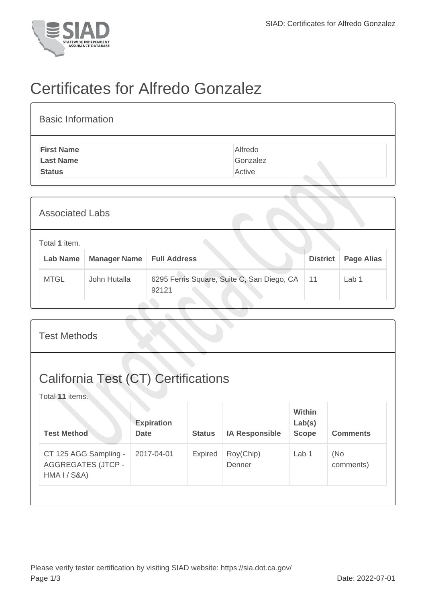

## Certificates for Alfredo Gonzalez

| <b>Basic Information</b> |          |  |  |  |  |  |  |
|--------------------------|----------|--|--|--|--|--|--|
| <b>First Name</b>        | Alfredo  |  |  |  |  |  |  |
| <b>Last Name</b>         | Gonzalez |  |  |  |  |  |  |
| <b>Status</b>            | Active   |  |  |  |  |  |  |

| <b>Associated Labs</b> |                                                                         |              |                                                     |                 |                   |  |
|------------------------|-------------------------------------------------------------------------|--------------|-----------------------------------------------------|-----------------|-------------------|--|
|                        | Total 1 item.<br>Lab Name<br><b>Manager Name</b><br><b>Full Address</b> |              |                                                     | <b>District</b> | <b>Page Alias</b> |  |
|                        | <b>MTGL</b>                                                             | John Hutalla | 6295 Ferris Square, Suite C, San Diego, CA<br>92121 | 11              | Lab 1             |  |

| <b>Test Methods</b>                                                |                                  |               |                       |                                         |                  |  |
|--------------------------------------------------------------------|----------------------------------|---------------|-----------------------|-----------------------------------------|------------------|--|
| <b>California Test (CT) Certifications</b><br>Total 11 items.      |                                  |               |                       |                                         |                  |  |
| <b>Test Method</b>                                                 | <b>Expiration</b><br><b>Date</b> | <b>Status</b> | <b>IA Responsible</b> | <b>Within</b><br>Lab(s)<br><b>Scope</b> | <b>Comments</b>  |  |
| CT 125 AGG Sampling -<br><b>AGGREGATES (JTCP -</b><br>HMA I / S&A) | 2017-04-01                       | Expired       | Roy(Chip)<br>Denner   | Lab 1                                   | (No<br>comments) |  |
|                                                                    |                                  |               |                       |                                         |                  |  |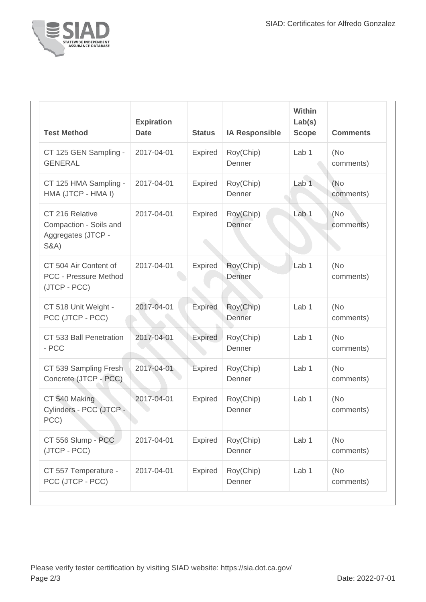

| <b>Test Method</b>                                                                 | <b>Expiration</b><br><b>Date</b> | <b>Status</b>  | <b>IA Responsible</b> | <b>Within</b><br>Lab(s)<br><b>Scope</b> | <b>Comments</b>   |
|------------------------------------------------------------------------------------|----------------------------------|----------------|-----------------------|-----------------------------------------|-------------------|
| CT 125 GEN Sampling -<br><b>GENERAL</b>                                            | 2017-04-01                       | Expired        | Roy(Chip)<br>Denner   | Lab <sub>1</sub>                        | (No)<br>comments) |
| CT 125 HMA Sampling -<br>HMA (JTCP - HMA I)                                        | 2017-04-01                       | Expired        | Roy(Chip)<br>Denner   | Lab <sub>1</sub>                        | (No)<br>comments) |
| CT 216 Relative<br>Compaction - Soils and<br>Aggregates (JTCP -<br><b>S&amp;A)</b> | 2017-04-01                       | Expired        | Roy(Chip)<br>Denner   | Lab <sub>1</sub>                        | (No<br>comments)  |
| CT 504 Air Content of<br><b>PCC - Pressure Method</b><br>(JTCP - PCC)              | 2017-04-01                       | Expired        | Roy(Chip)<br>Denner   | Lab <sub>1</sub>                        | (No)<br>comments) |
| CT 518 Unit Weight -<br>PCC (JTCP - PCC)                                           | 2017-04-01                       | <b>Expired</b> | Roy(Chip)<br>Denner   | Lab <sub>1</sub>                        | (No)<br>comments) |
| CT 533 Ball Penetration<br>- PCC                                                   | 2017-04-01                       | <b>Expired</b> | Roy(Chip)<br>Denner   | Lab 1                                   | (No<br>comments)  |
| CT 539 Sampling Fresh<br>Concrete (JTCP - PCC)                                     | 2017-04-01                       | Expired        | Roy(Chip)<br>Denner   | Lab <sub>1</sub>                        | (No<br>comments)  |
| CT 540 Making<br>Cylinders - PCC (JTCP -<br>PCC)                                   | 2017-04-01                       | <b>Expired</b> | Roy(Chip)<br>Denner   | Lab 1                                   | (No)<br>comments) |
| CT 556 Slump - PCC<br>(JTCP - PCC)                                                 | 2017-04-01                       | Expired        | Roy(Chip)<br>Denner   | Lab 1                                   | (No<br>comments)  |
| CT 557 Temperature -<br>PCC (JTCP - PCC)                                           | 2017-04-01                       | <b>Expired</b> | Roy(Chip)<br>Denner   | Lab 1                                   | (No<br>comments)  |